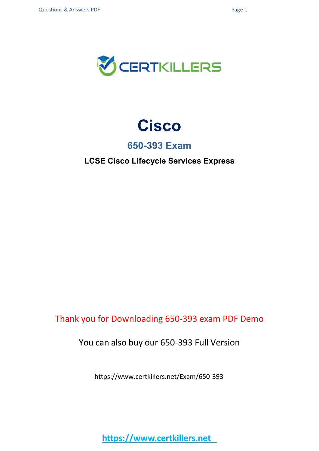

## **Cisco**

## **650-393 Exam**

### **LCSE Cisco Lifecycle Services Express**

Thank you for Downloading 650-393 exam PDF Demo

You can also buy our 650-393 Full Version

https://www.certkillers.net/Exam/650-393

**https://www.certkillers.net**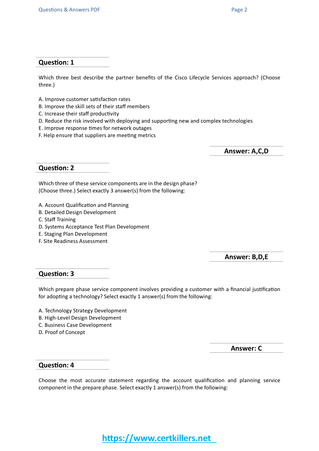#### **Question: 1**

Which three best describe the partner benefits of the Cisco Lifecycle Services approach? (Choose three.)

- A. Improve customer satisfaction rates
- B. Improve the skill sets of their staff members
- C. Increase their staff productivity
- D. Reduce the risk involved with deploying and supporting new and complex technologies
- E. Improve response times for network outages
- F. Help ensure that suppliers are meeting metrics

**Answer: A,C,D**

#### **Question: 2**

Which three of these service components are in the design phase? (Choose three.) Select exactly 3 answer(s) from the following:

- A. Account Qualification and Planning
- B. Detailed Design Development
- C. Staff Training
- D. Systems Acceptance Test Plan Development
- E. Staging Plan Development
- F. Site Readiness Assessment

**Answer: B,D,E**

#### **Question: 3**

Which prepare phase service component involves providing a customer with a financial justification for adopting a technology? Select exactly 1 answer(s) from the following:

- A. Technology Strategy Development
- B. High-Level Design Development
- C. Business Case Development
- D. Proof of Concept

**Answer: C**

#### **Question: 4**

Choose the most accurate statement regarding the account qualification and planning service component in the prepare phase. Select exactly 1 answer(s) from the following:

**https://www.certkillers.net**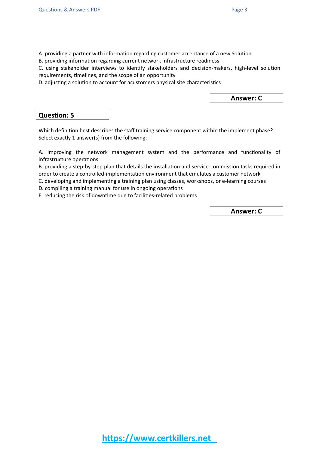A. providing a partner with information regarding customer acceptance of a new Solution

B. providing information regarding current network infrastructure readiness

C. using stakeholder interviews to identify stakeholders and decision-makers, high-level solution requirements, timelines, and the scope of an opportunity

D. adjusting a solution to account for acustomers physical site characteristics

**Answer: C**

#### **Question: 5**

Which definition best describes the staff training service component within the implement phase? Select exactly 1 answer(s) from the following:

A. improving the network management system and the performance and functionality of infrastructure operations

B. providing a step-by-step plan that details the installation and service-commission tasks required in order to create a controlled-implementation environment that emulates a customer network

C. developing and implementing a training plan using classes, workshops, or e-learning courses

D. compiling a training manual for use in ongoing operations

E. reducing the risk of downtime due to facilities-related problems

**Answer: C**